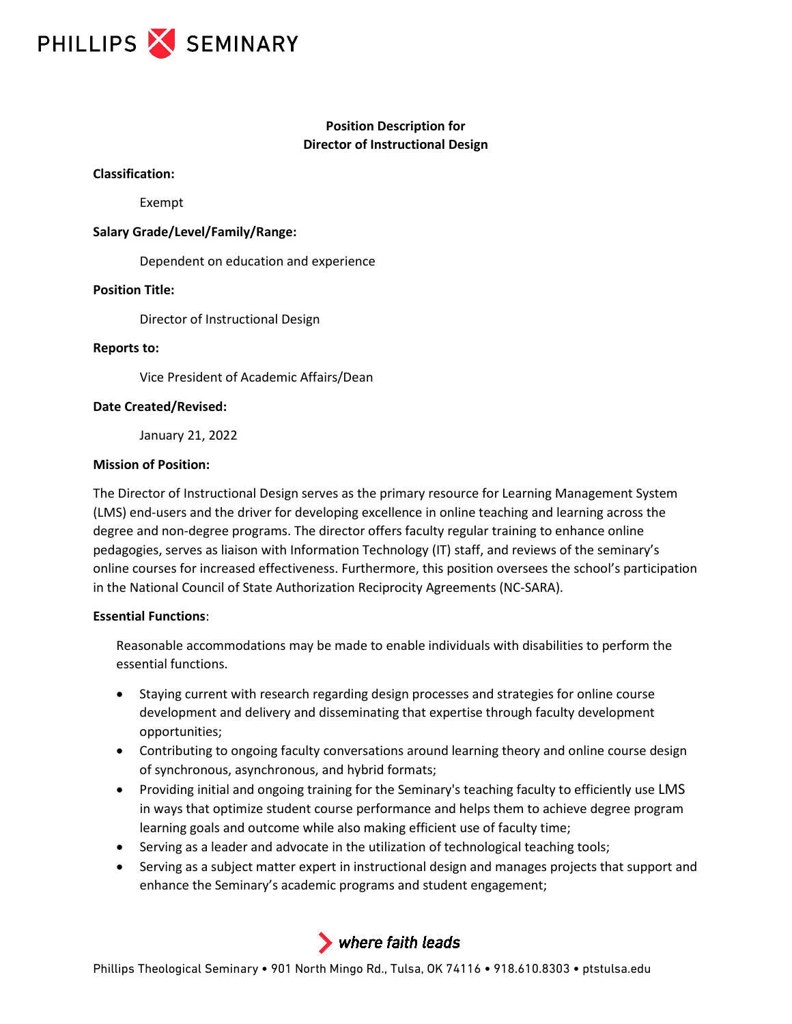

# **Position Description for Director of Instructional Design**

#### **Classification:**

Exempt

### **Salary Grade/Level/Family/Range:**

Dependent on education and experience

#### **Position Title:**

Director of Instructional Design

## **Reports to:**

Vice President of Academic Affairs/Dean

#### **Date Created/Revised:**

January 21, 2022

#### **Mission of Position:**

The Director of Instructional Design serves as the primary resource for Learning Management System (LMS) end-users and the driver for developing excellence in online teaching and learning across the degree and non-degree programs. The director offers faculty regular training to enhance online pedagogies, serves as liaison with Information Technology (IT) staff, and reviews of the seminary's online courses for increased effectiveness. Furthermore, this position oversees the school's participation in the National Council of State Authorization Reciprocity Agreements (NC-SARA).

## **Essential Functions**:

Reasonable accommodations may be made to enable individuals with disabilities to perform the essential functions.

- Staying current with research regarding design processes and strategies for online course development and delivery and disseminating that expertise through faculty development opportunities;
- Contributing to ongoing faculty conversations around learning theory and online course design of synchronous, asynchronous, and hybrid formats;
- Providing initial and ongoing training for the Seminary's teaching faculty to efficiently use LMS in ways that optimize student course performance and helps them to achieve degree program learning goals and outcome while also making efficient use of faculty time;
- Serving as a leader and advocate in the utilization of technological teaching tools;
- Serving as a subject matter expert in instructional design and manages projects that support and enhance the Seminary's academic programs and student engagement;



Phillips Theological Seminary • 901 North Mingo Rd., Tulsa, OK 74116 • 918.610.8303 • ptstulsa.edu